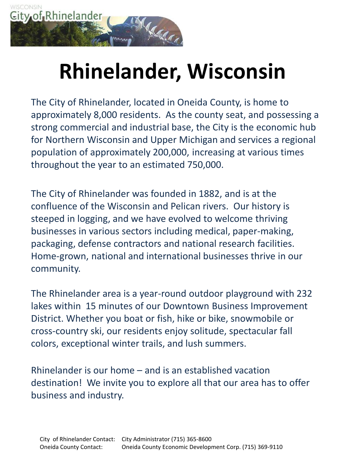

# **Rhinelander, Wisconsin**

The City of Rhinelander, located in Oneida County, is home to approximately 8,000 residents. As the county seat, and possessing a strong commercial and industrial base, the City is the economic hub for Northern Wisconsin and Upper Michigan and services a regional population of approximately 200,000, increasing at various times throughout the year to an estimated 750,000.

The City of Rhinelander was founded in 1882, and is at the confluence of the Wisconsin and Pelican rivers. Our history is steeped in logging, and we have evolved to welcome thriving businesses in various sectors including medical, paper-making, packaging, defense contractors and national research facilities. Home-grown, national and international businesses thrive in our community.

The Rhinelander area is a year-round outdoor playground with 232 lakes within 15 minutes of our Downtown Business Improvement District. Whether you boat or fish, hike or bike, snowmobile or cross-country ski, our residents enjoy solitude, spectacular fall colors, exceptional winter trails, and lush summers.

Rhinelander is our home – and is an established vacation destination! We invite you to explore all that our area has to offer business and industry.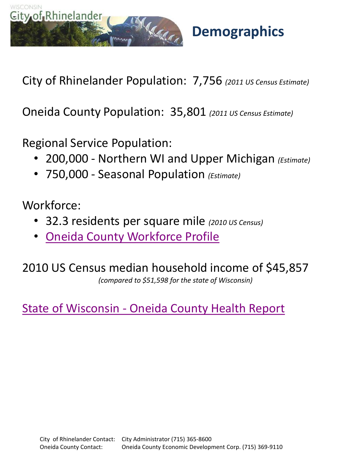

**Demographics**

City of Rhinelander Population: 7,756 *(2011 US Census Estimate)*

Oneida County Population: 35,801 *(2011 US Census Estimate)*

Regional Service Population:

- 200,000 Northern WI and Upper Michigan *(Estimate)*
- 750,000 Seasonal Population *(Estimate)*

Workforce:

- 32.3 residents per square mile *(2010 US Census)*
- [Oneida County Workforce Profile](http://worknet.wisconsin.gov/worknet_info/Downloads/CP/oneida_profile.pdf)

2010 US Census median household income of \$45,857 *(compared to \$51,598 for the state of Wisconsin)*

[State of Wisconsin -](http://dhs.wisconsin.gov/localdata/bycounty/oneida.htm) [Oneida County Health Report](http://dhs.wisconsin.gov/localdata/bycounty/oneida.htm)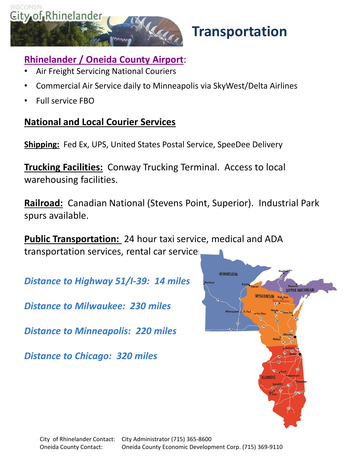

# **Transportation**

### **[Rhinelander / Oneida County Airport](http://www.fly-rhi.org/)**:

- Air Freight Servicing National Couriers
- Commercial Air Service daily to Minneapolis via SkyWest/Delta Airlines
- Full service FBO

### **National and Local Courier Services**

**Shipping:** Fed Ex, UPS, United States Postal Service, SpeeDee Delivery

**Trucking Facilities:** Conway Trucking Terminal. Access to local warehousing facilities.

**Railroad:** Canadian National (Stevens Point, Superior). Industrial Park spurs available.

**Public Transportation:** 24 hour taxi service, medical and ADA transportation services, rental car services

*Distance to Highway 51/I-39: 14 miles*

*Distance to Milwaukee: 230 miles*

*Distance to Minneapolis: 220 miles*

*Distance to Chicago: 320 miles*

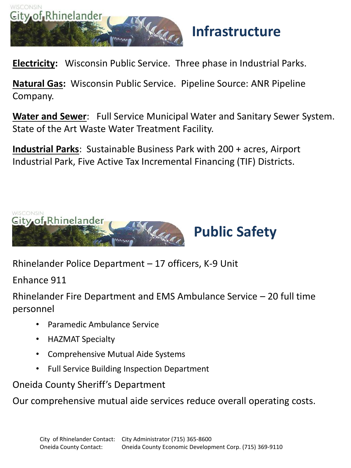

# **Infrastructure**

**Electricity:** Wisconsin Public Service. Three phase in Industrial Parks.

**Natural Gas:** Wisconsin Public Service. Pipeline Source: ANR Pipeline Company.

**Water and Sewer**: Full Service Municipal Water and Sanitary Sewer System. State of the Art Waste Water Treatment Facility.

**Industrial Parks**: Sustainable Business Park with 200 + acres, Airport Industrial Park, Five Active Tax Incremental Financing (TIF) Districts.



Rhinelander Police Department – 17 officers, K-9 Unit

Enhance 911

Rhinelander Fire Department and EMS Ambulance Service – 20 full time personnel

- Paramedic Ambulance Service
- HAZMAT Specialty
- Comprehensive Mutual Aide Systems
- Full Service Building Inspection Department

Oneida County Sheriff's Department

Our comprehensive mutual aide services reduce overall operating costs.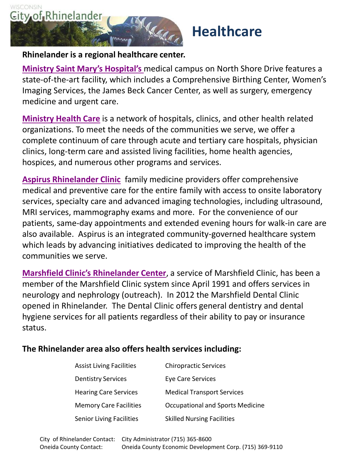

# **Healthcare**

#### **Rhinelander is a regional healthcare center.**

**[Ministry Saint Mary's Hospital's](http://www.ministryhealth.org/SMHR/home.nws)** medical campus on North Shore Drive features a state-of-the-art facility, which includes a Comprehensive Birthing Center, Women's Imaging Services, the James Beck Cancer Center, as well as surgery, emergency medicine and urgent care.

**[Ministry Health Care](http://www.ministryhealth.org/MinistryHealth.nws)** is a network of hospitals, clinics, and other health related organizations. To meet the needs of the communities we serve, we offer a complete continuum of care through acute and tertiary care hospitals, physician clinics, long-term care and assisted living facilities, home health agencies, hospices, and numerous other programs and services.

**[Aspirus Rhinelander Clinic](http://www.aspirus.org/hospitalsClinics/index.cfm?catID=2&subCatID=15&pageID=144&ret=336)** family medicine providers offer comprehensive medical and preventive care for the entire family with access to onsite laboratory services, specialty care and advanced imaging technologies, including ultrasound, MRI services, mammography exams and more. For the convenience of our patients, same-day appointments and extended evening hours for walk-in care are also available. Aspirus is an integrated community-governed healthcare system which leads by advancing initiatives dedicated to improving the health of the communities we serve.

**[Marshfield Clinic's Rhinelander Center](https://www.marshfieldclinic.org/Locations/Search?k=rhinelander)**, a service of Marshfield Clinic, has been a member of the Marshfield Clinic system since April 1991 and offers services in neurology and nephrology (outreach). In 2012 the Marshfield Dental Clinic opened in Rhinelander. The Dental Clinic offers general dentistry and dental hygiene services for all patients regardless of their ability to pay or insurance status.

#### **The Rhinelander area also offers health services including:**

| <b>Assist Living Facilities</b> | <b>Chiropractic Services</b>            |
|---------------------------------|-----------------------------------------|
| <b>Dentistry Services</b>       | Eye Care Services                       |
| <b>Hearing Care Services</b>    | <b>Medical Transport Services</b>       |
| <b>Memory Care Facilities</b>   | <b>Occupational and Sports Medicine</b> |
| <b>Senior Living Facilities</b> | <b>Skilled Nursing Facilities</b>       |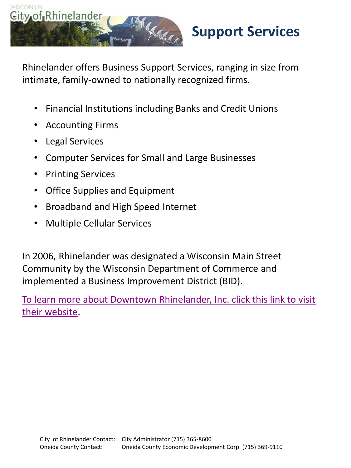

Rhinelander offers Business Support Services, ranging in size from intimate, family-owned to nationally recognized firms.

- Financial Institutions including Banks and Credit Unions
- Accounting Firms
- Legal Services
- Computer Services for Small and Large Businesses
- Printing Services
- Office Supplies and Equipment
- Broadband and High Speed Internet
- Multiple Cellular Services

In 2006, Rhinelander was designated a Wisconsin Main Street Community by the Wisconsin Department of Commerce and implemented a Business Improvement District (BID).

[To learn more about Downtown Rhinelander, Inc. click this link to visit](http://www.downtownrhinelander.com/)  [their website.](http://www.downtownrhinelander.com/)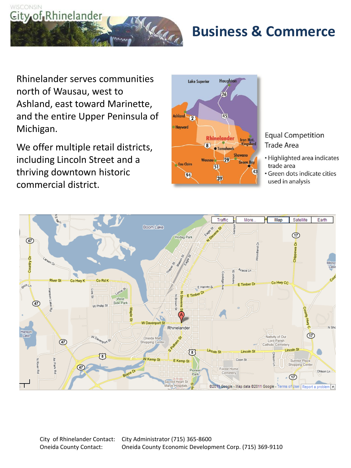

# **Business & Commerce**

Rhinelander serves communities north of Wausau, west to Ashland, east toward Marinette, and the entire Upper Peninsula of Michigan.

We offer multiple retail districts, including Lincoln Street and a thriving downtown historic commercial district.



#### **Equal Competition Trade Area**

- · Highlighted area indicates trade area
- · Green dots indicate cities used in analysis

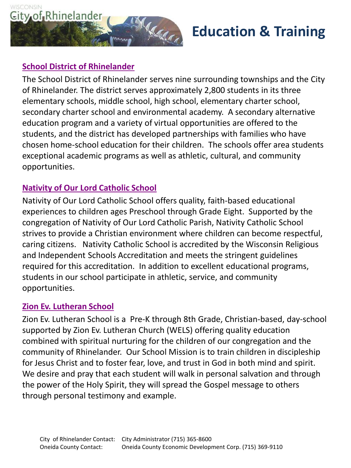

# **Education & Training**

#### **[School District of Rhinelander](http://www.rhinelander.k12.wi.us/)**

The School District of Rhinelander serves nine surrounding townships and the City of Rhinelander. The district serves approximately 2,800 students in its three elementary schools, middle school, high school, elementary charter school, secondary charter school and environmental academy. A secondary alternative education program and a variety of virtual opportunities are offered to the students, and the district has developed partnerships with families who have chosen home-school education for their children. The schools offer area students exceptional academic programs as well as athletic, cultural, and community opportunities.

#### **[Nativity of Our Lord Catholic School](http://www.nativityofourlord.net/school/)**

Nativity of Our Lord Catholic School offers quality, faith-based educational experiences to children ages Preschool through Grade Eight. Supported by the congregation of Nativity of Our Lord Catholic Parish, Nativity Catholic School strives to provide a Christian environment where children can become respectful, caring citizens. Nativity Catholic School is accredited by the Wisconsin Religious and Independent Schools Accreditation and meets the stringent guidelines required for this accreditation. In addition to excellent educational programs, students in our school participate in athletic, service, and community opportunities.

#### **[Zion Ev. Lutheran School](http://www.zionrhinelander.org/site/default.asp?sec_id=140001932&nc=1278586630591)**

Zion Ev. Lutheran School is a Pre-K through 8th Grade, Christian-based, day-school supported by Zion Ev. Lutheran Church (WELS) offering quality education combined with spiritual nurturing for the children of our congregation and the community of Rhinelander. Our School Mission is to train children in discipleship for Jesus Christ and to foster fear, love, and trust in God in both mind and spirit. We desire and pray that each student will walk in personal salvation and through the power of the Holy Spirit, they will spread the Gospel message to others through personal testimony and example.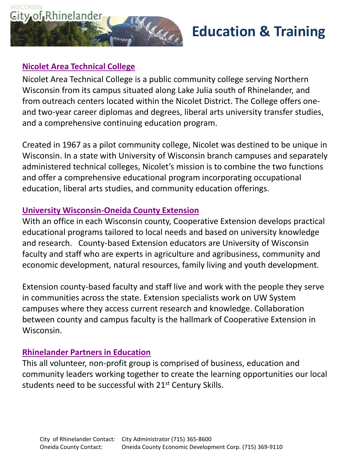

# **Education & Training**

#### **[Nicolet Area Technical College](http://www.nicoletcollege.edu/)**

Nicolet Area Technical College is a public community college serving Northern Wisconsin from its campus situated along Lake Julia south of Rhinelander, and from outreach centers located within the Nicolet District. The College offers oneand two-year career diplomas and degrees, liberal arts university transfer studies, and a comprehensive continuing education program.

Created in 1967 as a pilot community college, Nicolet was destined to be unique in Wisconsin. In a state with University of Wisconsin branch campuses and separately administered technical colleges, Nicolet's mission is to combine the two functions and offer a comprehensive educational program incorporating occupational education, liberal arts studies, and community education offerings.

#### **[University Wisconsin-Oneida County Extension](http://www.uwex.edu/ces/cty/oneida/index.html)**

With an office in each Wisconsin county, Cooperative Extension develops practical educational programs tailored to local needs and based on university knowledge and research. County-based Extension educators are University of Wisconsin faculty and staff who are experts in agriculture and agribusiness, community and economic development, natural resources, family living and youth development.

Extension county-based faculty and staff live and work with the people they serve in communities across the state. Extension specialists work on UW System campuses where they access current research and knowledge. Collaboration between county and campus faculty is the hallmark of Cooperative Extension in Wisconsin.

#### **[Rhinelander Partners in Education](http://www.rhinelanderpie.com/)**

This all volunteer, non-profit group is comprised of business, education and community leaders working together to create the learning opportunities our local students need to be successful with 21<sup>st</sup> Century Skills[.](http://www.uwex.edu/ces/cty/oneida/index.html)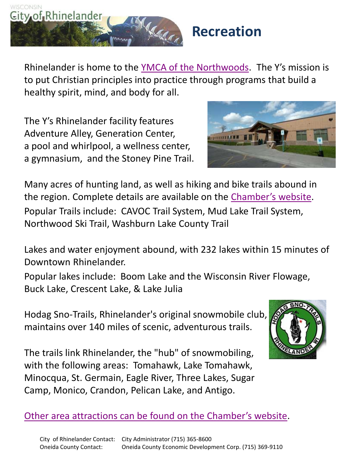

Rhinelander is home to the [YMCA of the Northwoods](http://www.ymcaofthenorthwoods.org/). The Y's mission is to put Christian principles into practice through programs that build a healthy spirit, mind, and body for all.

The Y's Rhinelander facility features Adventure Alley, Generation Center, a pool and whirlpool, a wellness center, a gymnasium, and the Stoney Pine Trail.



Many acres of hunting land, as well as hiking and bike trails abound in the region. Complete details are available on the [Chamber's website](http://www.explorerhinelander.com/recreation/). Popular Trails include: CAVOC Trail System, Mud Lake Trail System, Northwood Ski Trail, Washburn Lake County Trail

Lakes and water enjoyment abound, with 232 lakes within 15 minutes of Downtown Rhinelander.

Popular lakes include: Boom Lake and the Wisconsin River Flowage, Buck Lake, Crescent Lake, & Lake Julia

Hodag Sno-Trails, Rhinelander's original snowmobile club, maintains over 140 miles of scenic, adventurous trails.





[Other area attractions can be found on the Chamber's website](http://www.explorerhinelander.com/things-to-do/).